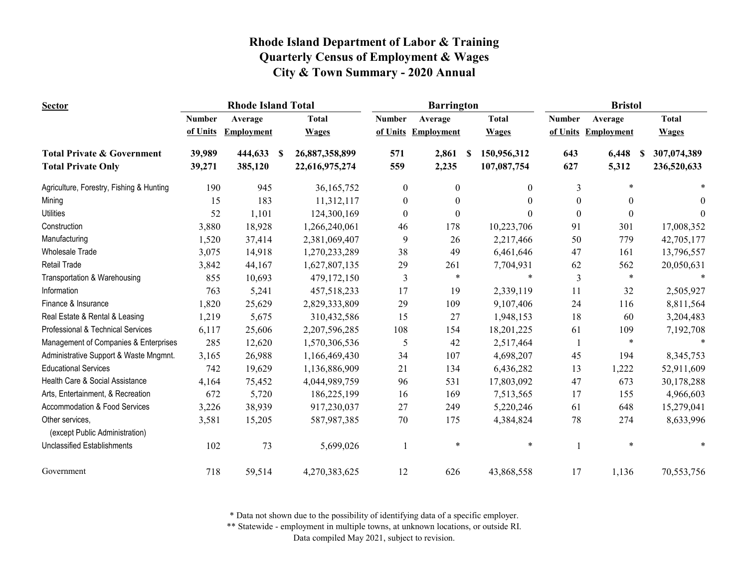| <b>Sector</b>                                     | <b>Rhode Island Total</b> |                   |          |                |                  | <b>Barrington</b> |    |              | <b>Bristol</b>   |                   |              |  |
|---------------------------------------------------|---------------------------|-------------------|----------|----------------|------------------|-------------------|----|--------------|------------------|-------------------|--------------|--|
|                                                   | <b>Number</b>             | Average           |          | <b>Total</b>   | <b>Number</b>    | Average           |    | <b>Total</b> | <b>Number</b>    | Average           | <b>Total</b> |  |
|                                                   | of Units                  | <b>Employment</b> |          | <b>Wages</b>   | of Units         | <b>Employment</b> |    | <b>Wages</b> | of Units         | <b>Employment</b> | <b>Wages</b> |  |
| <b>Total Private &amp; Government</b>             | 39,989                    | 444,633           | <b>S</b> | 26,887,358,899 | 571              | 2,861             | -S | 150,956,312  | 643              | 6,448<br>S        | 307,074,389  |  |
| <b>Total Private Only</b>                         | 39,271                    | 385,120           |          | 22,616,975,274 | 559              | 2,235             |    | 107,087,754  | 627              | 5,312             | 236,520,633  |  |
| Agriculture, Forestry, Fishing & Hunting          | 190                       | 945               |          | 36,165,752     | $\boldsymbol{0}$ | $\theta$          |    | $\theta$     | 3                | $\ast$            |              |  |
| Mining                                            | 15                        | 183               |          | 11,312,117     | $\mathbf{0}$     | $\theta$          |    | $\Omega$     | $\boldsymbol{0}$ | $\theta$          | $\Omega$     |  |
| <b>Utilities</b>                                  | 52                        | 1,101             |          | 124,300,169    | $\Omega$         | $\theta$          |    | $\Omega$     | $\theta$         | $\theta$          | $\Omega$     |  |
| Construction                                      | 3,880                     | 18,928            |          | 1,266,240,061  | 46               | 178               |    | 10,223,706   | 91               | 301               | 17,008,352   |  |
| Manufacturing                                     | 1,520                     | 37,414            |          | 2,381,069,407  | 9                | 26                |    | 2,217,466    | 50               | 779               | 42,705,177   |  |
| <b>Wholesale Trade</b>                            | 3,075                     | 14,918            |          | 1,270,233,289  | 38               | 49                |    | 6,461,646    | 47               | 161               | 13,796,557   |  |
| <b>Retail Trade</b>                               | 3,842                     | 44,167            |          | 1,627,807,135  | 29               | 261               |    | 7,704,931    | 62               | 562               | 20,050,631   |  |
| Transportation & Warehousing                      | 855                       | 10,693            |          | 479,172,150    | 3                | $\ast$            |    | $\ast$       | 3                | $\ast$            |              |  |
| Information                                       | 763                       | 5,241             |          | 457,518,233    | 17               | 19                |    | 2,339,119    | 11               | 32                | 2,505,927    |  |
| Finance & Insurance                               | 1,820                     | 25,629            |          | 2,829,333,809  | 29               | 109               |    | 9,107,406    | 24               | 116               | 8,811,564    |  |
| Real Estate & Rental & Leasing                    | 1,219                     | 5,675             |          | 310,432,586    | 15               | 27                |    | 1,948,153    | 18               | 60                | 3,204,483    |  |
| Professional & Technical Services                 | 6,117                     | 25,606            |          | 2,207,596,285  | 108              | 154               |    | 18,201,225   | 61               | 109               | 7,192,708    |  |
| Management of Companies & Enterprises             | 285                       | 12,620            |          | 1,570,306,536  | 5                | 42                |    | 2,517,464    |                  | $\ast$            |              |  |
| Administrative Support & Waste Mngmnt.            | 3,165                     | 26,988            |          | 1,166,469,430  | 34               | 107               |    | 4,698,207    | 45               | 194               | 8,345,753    |  |
| <b>Educational Services</b>                       | 742                       | 19,629            |          | 1,136,886,909  | 21               | 134               |    | 6,436,282    | 13               | 1,222             | 52,911,609   |  |
| Health Care & Social Assistance                   | 4,164                     | 75,452            |          | 4,044,989,759  | 96               | 531               |    | 17,803,092   | 47               | 673               | 30,178,288   |  |
| Arts, Entertainment, & Recreation                 | 672                       | 5,720             |          | 186,225,199    | 16               | 169               |    | 7,513,565    | 17               | 155               | 4,966,603    |  |
| Accommodation & Food Services                     | 3,226                     | 38,939            |          | 917,230,037    | 27               | 249               |    | 5,220,246    | 61               | 648               | 15,279,041   |  |
| Other services,<br>(except Public Administration) | 3,581                     | 15,205            |          | 587,987,385    | 70               | 175               |    | 4,384,824    | 78               | 274               | 8,633,996    |  |
| <b>Unclassified Establishments</b>                | 102                       | 73                |          | 5,699,026      | $\mathbf{1}$     | $\ast$            |    | $\ast$       |                  | $\ast$            |              |  |
| Government                                        | 718                       | 59,514            |          | 4,270,383,625  | 12               | 626               |    | 43,868,558   | 17               | 1,136             | 70,553,756   |  |

\* Data not shown due to the possibility of identifying data of a specific employer.

\*\* Statewide - employment in multiple towns, at unknown locations, or outside RI.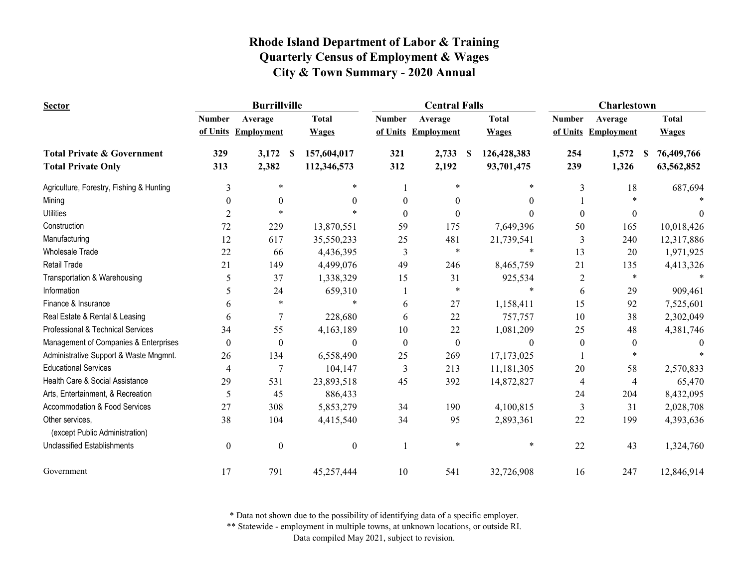| <b>Sector</b>                                     |                  | <b>Burrillville</b> |                   |                  | <b>Central Falls</b> |                   | <b>Charlestown</b> |                   |                  |  |
|---------------------------------------------------|------------------|---------------------|-------------------|------------------|----------------------|-------------------|--------------------|-------------------|------------------|--|
|                                                   | <b>Number</b>    | Average             | <b>Total</b>      | <b>Number</b>    | Average              | <b>Total</b>      | <b>Number</b>      | Average           | <b>Total</b>     |  |
|                                                   |                  | of Units Employment | <b>Wages</b>      | of Units         | <b>Employment</b>    | <b>Wages</b>      | of Units           | <b>Employment</b> | <b>Wages</b>     |  |
| <b>Total Private &amp; Government</b>             | 329              | 3,172               | 157,604,017<br>-S | 321              | 2,733                | 126,428,383<br>-S | 254                | 1,572             | 76,409,766<br>-S |  |
| <b>Total Private Only</b>                         | 313              | 2,382               | 112,346,573       | 312              | 2,192                | 93,701,475        | 239                | 1,326             | 63,562,852       |  |
| Agriculture, Forestry, Fishing & Hunting          | $\overline{3}$   | *                   | *                 |                  | $\ast$               | *                 | 3                  | 18                | 687,694          |  |
| Mining                                            | 0                | $\theta$            | 0                 | $\Omega$         | $\Omega$             | 0                 |                    | $\ast$            |                  |  |
| <b>Utilities</b>                                  | $\overline{2}$   |                     |                   | $\Omega$         | 0                    |                   | $\theta$           | $\theta$          | $\Omega$         |  |
| Construction                                      | 72               | 229                 | 13,870,551        | 59               | 175                  | 7,649,396         | 50                 | 165               | 10,018,426       |  |
| Manufacturing                                     | 12               | 617                 | 35,550,233        | 25               | 481                  | 21,739,541        | 3                  | 240               | 12,317,886       |  |
| <b>Wholesale Trade</b>                            | 22               | 66                  | 4,436,395         | 3                | *                    | $\ast$            | 13                 | 20                | 1,971,925        |  |
| <b>Retail Trade</b>                               | 21               | 149                 | 4,499,076         | 49               | 246                  | 8,465,759         | 21                 | 135               | 4,413,326        |  |
| Transportation & Warehousing                      | 5                | 37                  | 1,338,329         | 15               | 31                   | 925,534           | 2                  | $\ast$            |                  |  |
| Information                                       | 5                | 24                  | 659,310           |                  | $\ast$               |                   | 6                  | 29                | 909,461          |  |
| Finance & Insurance                               | 6                | $\ast$              | $\ast$            | 6                | 27                   | 1,158,411         | 15                 | 92                | 7,525,601        |  |
| Real Estate & Rental & Leasing                    | 6                | $\overline{7}$      | 228,680           | 6                | 22                   | 757,757           | 10                 | 38                | 2,302,049        |  |
| Professional & Technical Services                 | 34               | 55                  | 4,163,189         | 10               | 22                   | 1,081,209         | 25                 | 48                | 4,381,746        |  |
| Management of Companies & Enterprises             | $\boldsymbol{0}$ | $\boldsymbol{0}$    | $\boldsymbol{0}$  | $\boldsymbol{0}$ | $\boldsymbol{0}$     | $\Omega$          | $\boldsymbol{0}$   | $\boldsymbol{0}$  | $\Omega$         |  |
| Administrative Support & Waste Mngmnt.            | 26               | 134                 | 6,558,490         | 25               | 269                  | 17,173,025        |                    |                   |                  |  |
| <b>Educational Services</b>                       | 4                | 7                   | 104,147           | 3                | 213                  | 11,181,305        | 20                 | 58                | 2,570,833        |  |
| Health Care & Social Assistance                   | 29               | 531                 | 23,893,518        | 45               | 392                  | 14,872,827        | 4                  | 4                 | 65,470           |  |
| Arts, Entertainment, & Recreation                 | 5                | 45                  | 886,433           |                  |                      |                   | 24                 | 204               | 8,432,095        |  |
| Accommodation & Food Services                     | 27               | 308                 | 5,853,279         | 34               | 190                  | 4,100,815         | 3                  | 31                | 2,028,708        |  |
| Other services,<br>(except Public Administration) | 38               | 104                 | 4,415,540         | 34               | 95                   | 2,893,361         | 22                 | 199               | 4,393,636        |  |
| <b>Unclassified Establishments</b>                | $\boldsymbol{0}$ | $\boldsymbol{0}$    | $\boldsymbol{0}$  |                  | $\ast$               | $\ast$            | 22                 | 43                | 1,324,760        |  |
| Government                                        | 17               | 791                 | 45,257,444        | 10               | 541                  | 32,726,908        | 16                 | 247               | 12,846,914       |  |

\* Data not shown due to the possibility of identifying data of a specific employer.

\*\* Statewide - employment in multiple towns, at unknown locations, or outside RI.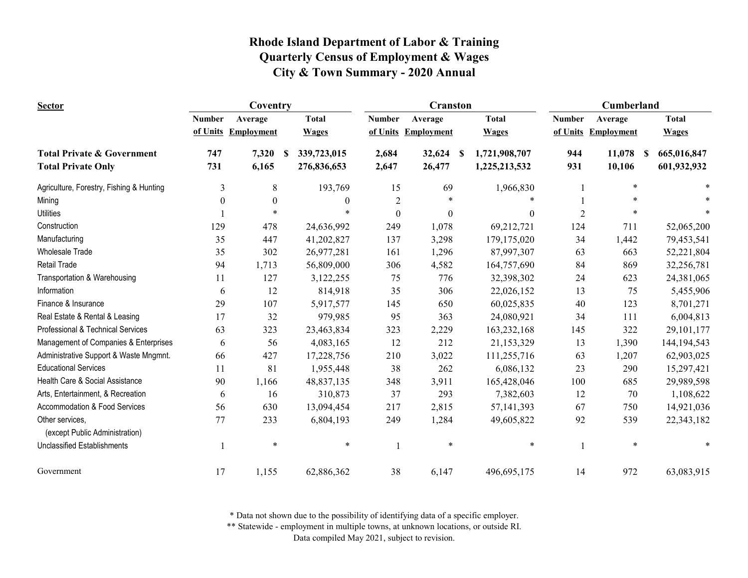| <b>Sector</b>                                     |               | Coventry            |                   |                  | <b>Cranston</b>   |                                | Cumberland     |                     |                              |  |
|---------------------------------------------------|---------------|---------------------|-------------------|------------------|-------------------|--------------------------------|----------------|---------------------|------------------------------|--|
|                                                   | <b>Number</b> | Average             | <b>Total</b>      | <b>Number</b>    | Average           | <b>Total</b>                   | <b>Number</b>  | Average             | <b>Total</b>                 |  |
|                                                   |               | of Units Employment | <b>Wages</b>      | of Units         | <b>Employment</b> | <b>Wages</b>                   |                | of Units Employment | <b>Wages</b>                 |  |
| <b>Total Private &amp; Government</b>             | 747           | 7,320               | 339,723,015<br>-S | 2,684            | 32,624            | 1,721,908,707<br><sup>\$</sup> | 944            | 11,078              | 665,016,847<br><sup>\$</sup> |  |
| <b>Total Private Only</b>                         | 731           | 6,165               | 276,836,653       | 2,647            | 26,477            | 1,225,213,532                  | 931            | 10,106              | 601,932,932                  |  |
| Agriculture, Forestry, Fishing & Hunting          | 3             | 8                   | 193,769           | 15               | 69                | 1,966,830                      |                | $\ast$              |                              |  |
| Mining                                            | $\theta$      | $\boldsymbol{0}$    | 0                 | $\sqrt{2}$       |                   |                                |                |                     |                              |  |
| <b>Utilities</b>                                  |               |                     |                   | $\boldsymbol{0}$ | $\theta$          | $\theta$                       | $\overline{2}$ | *                   |                              |  |
| Construction                                      | 129           | 478                 | 24,636,992        | 249              | 1,078             | 69,212,721                     | 124            | 711                 | 52,065,200                   |  |
| Manufacturing                                     | 35            | 447                 | 41,202,827        | 137              | 3,298             | 179,175,020                    | 34             | 1,442               | 79,453,541                   |  |
| <b>Wholesale Trade</b>                            | 35            | 302                 | 26,977,281        | 161              | 1,296             | 87,997,307                     | 63             | 663                 | 52,221,804                   |  |
| Retail Trade                                      | 94            | 1,713               | 56,809,000        | 306              | 4,582             | 164,757,690                    | 84             | 869                 | 32,256,781                   |  |
| Transportation & Warehousing                      | 11            | 127                 | 3,122,255         | 75               | 776               | 32,398,302                     | 24             | 623                 | 24,381,065                   |  |
| Information                                       | 6             | 12                  | 814,918           | 35               | 306               | 22,026,152                     | 13             | 75                  | 5,455,906                    |  |
| Finance & Insurance                               | 29            | 107                 | 5,917,577         | 145              | 650               | 60,025,835                     | 40             | 123                 | 8,701,271                    |  |
| Real Estate & Rental & Leasing                    | 17            | 32                  | 979,985           | 95               | 363               | 24,080,921                     | 34             | 111                 | 6,004,813                    |  |
| Professional & Technical Services                 | 63            | 323                 | 23,463,834        | 323              | 2,229             | 163,232,168                    | 145            | 322                 | 29,101,177                   |  |
| Management of Companies & Enterprises             | 6             | 56                  | 4,083,165         | 12               | 212               | 21,153,329                     | 13             | 1,390               | 144,194,543                  |  |
| Administrative Support & Waste Mngmnt.            | 66            | 427                 | 17,228,756        | 210              | 3,022             | 111,255,716                    | 63             | 1,207               | 62,903,025                   |  |
| <b>Educational Services</b>                       | 11            | 81                  | 1,955,448         | 38               | 262               | 6,086,132                      | 23             | 290                 | 15,297,421                   |  |
| Health Care & Social Assistance                   | 90            | 1,166               | 48,837,135        | 348              | 3,911             | 165,428,046                    | 100            | 685                 | 29,989,598                   |  |
| Arts, Entertainment, & Recreation                 | 6             | 16                  | 310,873           | 37               | 293               | 7,382,603                      | 12             | 70                  | 1,108,622                    |  |
| Accommodation & Food Services                     | 56            | 630                 | 13,094,454        | 217              | 2,815             | 57,141,393                     | 67             | 750                 | 14,921,036                   |  |
| Other services,<br>(except Public Administration) | 77            | 233                 | 6,804,193         | 249              | 1,284             | 49,605,822                     | 92             | 539                 | 22,343,182                   |  |
| <b>Unclassified Establishments</b>                |               | $\ast$              | ∗                 |                  | $\ast$            | *                              |                | $\ast$              |                              |  |
| Government                                        | 17            | 1,155               | 62,886,362        | 38               | 6,147             | 496,695,175                    | 14             | 972                 | 63,083,915                   |  |

\* Data not shown due to the possibility of identifying data of a specific employer.

\*\* Statewide - employment in multiple towns, at unknown locations, or outside RI.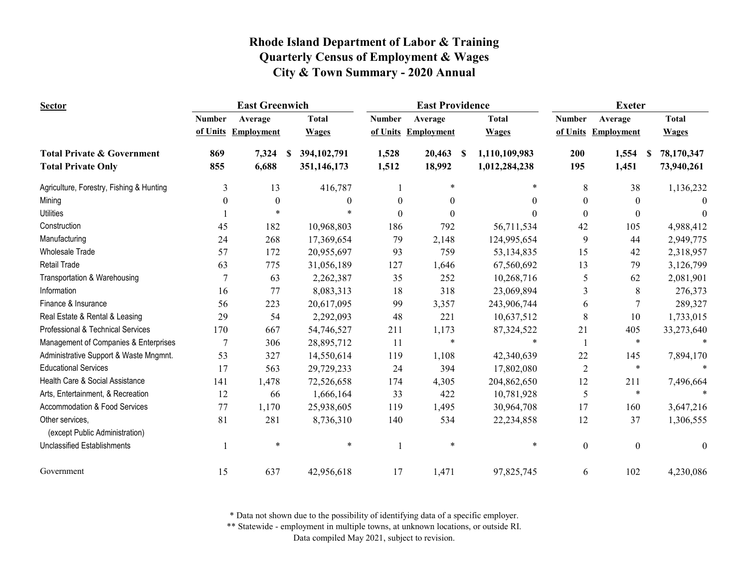| <b>Sector</b>                                     |               | <b>East Greenwich</b> |                     |                  | <b>East Providence</b> |                    |                | <b>Exeter</b>       |                  |  |  |
|---------------------------------------------------|---------------|-----------------------|---------------------|------------------|------------------------|--------------------|----------------|---------------------|------------------|--|--|
|                                                   | <b>Number</b> | Average               | <b>Total</b>        | <b>Number</b>    | Average                | <b>Total</b>       | <b>Number</b>  | Average             | <b>Total</b>     |  |  |
|                                                   |               | of Units Employment   | <b>Wages</b>        |                  | of Units Employment    | <b>Wages</b>       |                | of Units Employment | <b>Wages</b>     |  |  |
| <b>Total Private &amp; Government</b>             | 869           | 7,324                 | 394, 102, 791<br>-S | 1,528            | 20,463                 | 1,110,109,983<br>S | 200            | 1,554               | 78,170,347<br>-S |  |  |
| <b>Total Private Only</b>                         | 855           | 6,688                 | 351,146,173         | 1,512            | 18,992                 | 1,012,284,238      | 195            | 1,451               | 73,940,261       |  |  |
| Agriculture, Forestry, Fishing & Hunting          | 3             | 13                    | 416,787             |                  | *                      | *                  | 8              | 38                  | 1,136,232        |  |  |
| Mining                                            | $\theta$      | $\boldsymbol{0}$      | $\theta$            | $\boldsymbol{0}$ | 0                      | $\Omega$           | $\Omega$       | $\theta$            | $\Omega$         |  |  |
| <b>Utilities</b>                                  |               | $\ast$                |                     | $\theta$         | 0                      | 0                  | $\Omega$       | $\theta$            | $\Omega$         |  |  |
| Construction                                      | 45            | 182                   | 10,968,803          | 186              | 792                    | 56,711,534         | 42             | 105                 | 4,988,412        |  |  |
| Manufacturing                                     | 24            | 268                   | 17,369,654          | 79               | 2,148                  | 124,995,654        | 9              | 44                  | 2,949,775        |  |  |
| <b>Wholesale Trade</b>                            | 57            | 172                   | 20,955,697          | 93               | 759                    | 53,134,835         | 15             | 42                  | 2,318,957        |  |  |
| <b>Retail Trade</b>                               | 63            | 775                   | 31,056,189          | 127              | 1,646                  | 67,560,692         | 13             | 79                  | 3,126,799        |  |  |
| Transportation & Warehousing                      | $\tau$        | 63                    | 2,262,387           | 35               | 252                    | 10,268,716         | 5              | 62                  | 2,081,901        |  |  |
| Information                                       | 16            | 77                    | 8,083,313           | 18               | 318                    | 23,069,894         | 3              | 8                   | 276,373          |  |  |
| Finance & Insurance                               | 56            | 223                   | 20,617,095          | 99               | 3,357                  | 243,906,744        | 6              | 7                   | 289,327          |  |  |
| Real Estate & Rental & Leasing                    | 29            | 54                    | 2,292,093           | 48               | 221                    | 10,637,512         | 8              | 10                  | 1,733,015        |  |  |
| Professional & Technical Services                 | 170           | 667                   | 54,746,527          | 211              | 1,173                  | 87,324,522         | 21             | 405                 | 33,273,640       |  |  |
| Management of Companies & Enterprises             | 7             | 306                   | 28,895,712          | 11               | $\ast$                 | $\ast$             |                | $\ast$              |                  |  |  |
| Administrative Support & Waste Mngmnt.            | 53            | 327                   | 14,550,614          | 119              | 1,108                  | 42,340,639         | 22             | 145                 | 7,894,170        |  |  |
| <b>Educational Services</b>                       | 17            | 563                   | 29,729,233          | 24               | 394                    | 17,802,080         | $\overline{2}$ | $\ast$              |                  |  |  |
| Health Care & Social Assistance                   | 141           | 1,478                 | 72,526,658          | 174              | 4,305                  | 204,862,650        | 12             | 211                 | 7,496,664        |  |  |
| Arts, Entertainment, & Recreation                 | 12            | 66                    | 1,666,164           | 33               | 422                    | 10,781,928         | 5              | $\ast$              |                  |  |  |
| Accommodation & Food Services                     | 77            | 1,170                 | 25,938,605          | 119              | 1,495                  | 30,964,708         | 17             | 160                 | 3,647,216        |  |  |
| Other services,<br>(except Public Administration) | 81            | 281                   | 8,736,310           | 140              | 534                    | 22,234,858         | 12             | 37                  | 1,306,555        |  |  |
| <b>Unclassified Establishments</b>                |               | $\ast$                | *                   |                  | *                      | $\ast$             | $\theta$       | $\mathbf{0}$        | $\Omega$         |  |  |
| Government                                        | 15            | 637                   | 42,956,618          | 17               | 1,471                  | 97,825,745         | 6              | 102                 | 4,230,086        |  |  |

\* Data not shown due to the possibility of identifying data of a specific employer.

\*\* Statewide - employment in multiple towns, at unknown locations, or outside RI.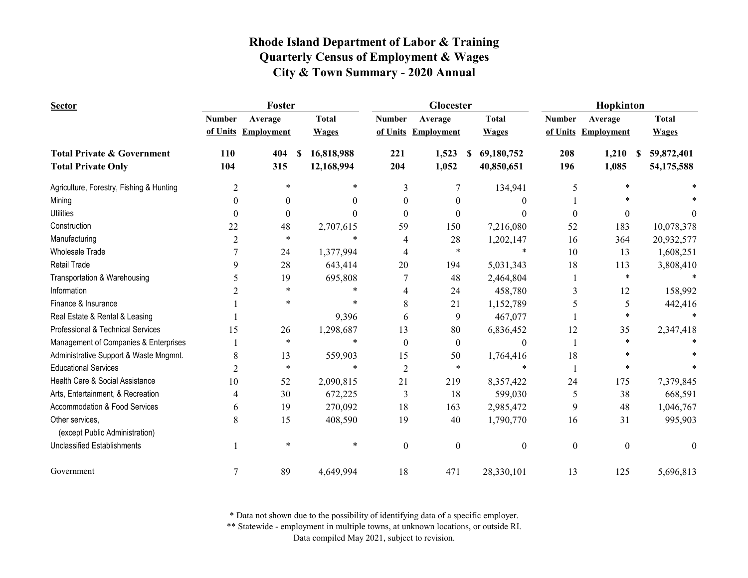| <b>Sector</b>                            |                | Foster            |                        |                | Glocester         |                             | Hopkinton        |                     |                 |  |
|------------------------------------------|----------------|-------------------|------------------------|----------------|-------------------|-----------------------------|------------------|---------------------|-----------------|--|
|                                          | <b>Number</b>  | Average           | <b>Total</b>           | <b>Number</b>  | Average           | <b>Total</b>                | <b>Number</b>    | Average             | <b>Total</b>    |  |
|                                          | of Units       | <b>Employment</b> | <b>Wages</b>           | of Units       | <b>Employment</b> | <b>Wages</b>                |                  | of Units Employment | <b>Wages</b>    |  |
| <b>Total Private &amp; Government</b>    | 110            | 404               | 16,818,988<br><b>S</b> | 221            | 1,523             | 69,180,752<br><sup>\$</sup> | 208              | 1,210               | 59,872,401<br>S |  |
| <b>Total Private Only</b>                | 104            | 315               | 12,168,994             | 204            | 1,052             | 40,850,651                  | 196              | 1,085               | 54,175,588      |  |
| Agriculture, Forestry, Fishing & Hunting | $\overline{2}$ | $\ast$            | $\ast$                 | 3              | 7                 | 134,941                     | 5                | *                   |                 |  |
| Mining                                   | $\theta$       | $\theta$          | $\theta$               | 0              | 0                 | 0                           |                  |                     |                 |  |
| <b>Utilities</b>                         | $\Omega$       | $\theta$          | $\theta$               | 0              | 0                 | 0                           | $\Omega$         | $\theta$            | 0               |  |
| Construction                             | 22             | 48                | 2,707,615              | 59             | 150               | 7,216,080                   | 52               | 183                 | 10,078,378      |  |
| Manufacturing                            | 2              | $\ast$            | $\ast$                 | 4              | 28                | 1,202,147                   | 16               | 364                 | 20,932,577      |  |
| <b>Wholesale Trade</b>                   | 7              | 24                | 1,377,994              | 4              | *                 | *                           | 10               | 13                  | 1,608,251       |  |
| <b>Retail Trade</b>                      | 9              | 28                | 643,414                | 20             | 194               | 5,031,343                   | 18               | 113                 | 3,808,410       |  |
| Transportation & Warehousing             | 5              | 19                | 695,808                |                | 48                | 2,464,804                   |                  | $\ast$              |                 |  |
| Information                              |                | $\ast$            | $\ast$                 | 4              | 24                | 458,780                     | 3                | 12                  | 158,992         |  |
| Finance & Insurance                      |                | $\ast$            | $\ast$                 | 8              | 21                | 1,152,789                   | 5                | 5                   | 442,416         |  |
| Real Estate & Rental & Leasing           |                |                   | 9,396                  | 6              | 9                 | 467,077                     |                  | $\ast$              |                 |  |
| Professional & Technical Services        | 15             | 26                | 1,298,687              | 13             | 80                | 6,836,452                   | 12               | 35                  | 2,347,418       |  |
| Management of Companies & Enterprises    |                | $\ast$            | $\ast$                 | $\overline{0}$ | $\mathbf{0}$      | $\theta$                    |                  | $\ast$              |                 |  |
| Administrative Support & Waste Mngmnt.   | 8              | 13                | 559,903                | 15             | 50                | 1,764,416                   | 18               |                     |                 |  |
| <b>Educational Services</b>              | 2              | $\ast$            | $\ast$                 | $\overline{2}$ | $\ast$            | $\ast$                      |                  | *                   |                 |  |
| Health Care & Social Assistance          | 10             | 52                | 2,090,815              | 21             | 219               | 8,357,422                   | 24               | 175                 | 7,379,845       |  |
| Arts, Entertainment, & Recreation        | 4              | 30                | 672,225                | 3              | 18                | 599,030                     | 5                | 38                  | 668,591         |  |
| Accommodation & Food Services            | 6              | 19                | 270,092                | 18             | 163               | 2,985,472                   | 9                | 48                  | 1,046,767       |  |
| Other services.                          | 8              | 15                | 408,590                | 19             | 40                | 1,790,770                   | 16               | 31                  | 995,903         |  |
| (except Public Administration)           |                |                   |                        |                |                   |                             |                  |                     |                 |  |
| <b>Unclassified Establishments</b>       |                | $\ast$            | $\ast$                 | $\overline{0}$ | $\theta$          | $\boldsymbol{0}$            | $\boldsymbol{0}$ | $\overline{0}$      | $\theta$        |  |
| Government                               | 7              | 89                | 4,649,994              | 18             | 471               | 28,330,101                  | 13               | 125                 | 5,696,813       |  |

\* Data not shown due to the possibility of identifying data of a specific employer.

\*\* Statewide - employment in multiple towns, at unknown locations, or outside RI.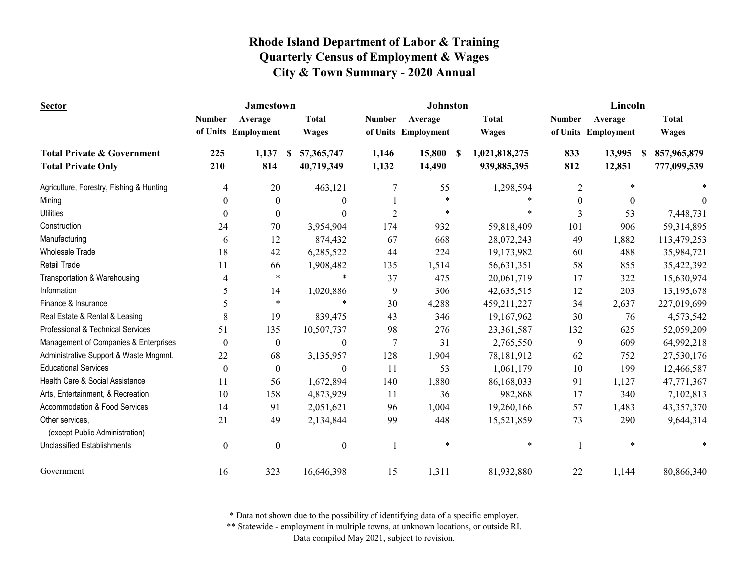| <b>Sector</b>                                     |                  | <b>Jamestown</b>  |                  |                | Johnston   |                     | Lincoln          |                        |              |  |
|---------------------------------------------------|------------------|-------------------|------------------|----------------|------------|---------------------|------------------|------------------------|--------------|--|
|                                                   | <b>Number</b>    | Average           | <b>Total</b>     | <b>Number</b>  | Average    | <b>Total</b>        | <b>Number</b>    | Average                | <b>Total</b> |  |
|                                                   | of Units         | <b>Employment</b> | <b>Wages</b>     | of Units       | Employment | <b>Wages</b>        |                  | of Units Employment    | <b>Wages</b> |  |
| <b>Total Private &amp; Government</b>             | 225              | 1,137             | 57,365,747<br>-S | 1,146          | 15,800     | -S<br>1,021,818,275 | 833              | 13,995<br><sup>S</sup> | 857,965,879  |  |
| <b>Total Private Only</b>                         | 210              | 814               | 40,719,349       | 1,132          | 14,490     | 939,885,395         | 812              | 12,851                 | 777,099,539  |  |
| Agriculture, Forestry, Fishing & Hunting          | 4                | 20                | 463,121          | 7              | 55         | 1,298,594           | $\overline{2}$   | $\ast$                 |              |  |
| Mining                                            | $\theta$         | $\mathbf{0}$      | $\mathbf{0}$     |                | $\ast$     |                     | $\boldsymbol{0}$ | $\theta$               | $\theta$     |  |
| <b>Utilities</b>                                  | $\Omega$         | $\theta$          | $\Omega$         | $\overline{2}$ | $\ast$     | $\ast$              | 3                | 53                     | 7,448,731    |  |
| Construction                                      | 24               | 70                | 3,954,904        | 174            | 932        | 59,818,409          | 101              | 906                    | 59,314,895   |  |
| Manufacturing                                     | 6                | 12                | 874,432          | 67             | 668        | 28,072,243          | 49               | 1,882                  | 113,479,253  |  |
| <b>Wholesale Trade</b>                            | 18               | 42                | 6,285,522        | 44             | 224        | 19,173,982          | 60               | 488                    | 35,984,721   |  |
| Retail Trade                                      | 11               | 66                | 1,908,482        | 135            | 1,514      | 56,631,351          | 58               | 855                    | 35,422,392   |  |
| Transportation & Warehousing                      | 4                | $\ast$            | $\ast$           | 37             | 475        | 20,061,719          | 17               | 322                    | 15,630,974   |  |
| Information                                       | 5                | 14                | 1,020,886        | 9              | 306        | 42,635,515          | 12               | 203                    | 13,195,678   |  |
| Finance & Insurance                               | 5                | $\ast$            | *                | 30             | 4,288      | 459,211,227         | 34               | 2,637                  | 227,019,699  |  |
| Real Estate & Rental & Leasing                    | 8                | 19                | 839,475          | 43             | 346        | 19,167,962          | 30               | 76                     | 4,573,542    |  |
| Professional & Technical Services                 | 51               | 135               | 10,507,737       | 98             | 276        | 23,361,587          | 132              | 625                    | 52,059,209   |  |
| Management of Companies & Enterprises             | $\boldsymbol{0}$ | $\boldsymbol{0}$  | $\boldsymbol{0}$ | 7              | 31         | 2,765,550           | 9                | 609                    | 64,992,218   |  |
| Administrative Support & Waste Mngmnt.            | 22               | 68                | 3,135,957        | 128            | 1,904      | 78,181,912          | 62               | 752                    | 27,530,176   |  |
| <b>Educational Services</b>                       | $\theta$         | $\boldsymbol{0}$  | $\theta$         | 11             | 53         | 1,061,179           | 10               | 199                    | 12,466,587   |  |
| Health Care & Social Assistance                   | 11               | 56                | 1,672,894        | 140            | 1,880      | 86,168,033          | 91               | 1,127                  | 47,771,367   |  |
| Arts, Entertainment, & Recreation                 | 10               | 158               | 4,873,929        | 11             | 36         | 982,868             | 17               | 340                    | 7,102,813    |  |
| Accommodation & Food Services                     | 14               | 91                | 2,051,621        | 96             | 1,004      | 19,260,166          | 57               | 1,483                  | 43,357,370   |  |
| Other services,<br>(except Public Administration) | 21               | 49                | 2,134,844        | 99             | 448        | 15,521,859          | 73               | 290                    | 9,644,314    |  |
| <b>Unclassified Establishments</b>                | $\boldsymbol{0}$ | $\mathbf{0}$      | $\boldsymbol{0}$ |                | $\ast$     | $\ast$              |                  | $\ast$                 |              |  |
| Government                                        | 16               | 323               | 16,646,398       | 15             | 1,311      | 81,932,880          | 22               | 1,144                  | 80,866,340   |  |

\* Data not shown due to the possibility of identifying data of a specific employer.

\*\* Statewide - employment in multiple towns, at unknown locations, or outside RI.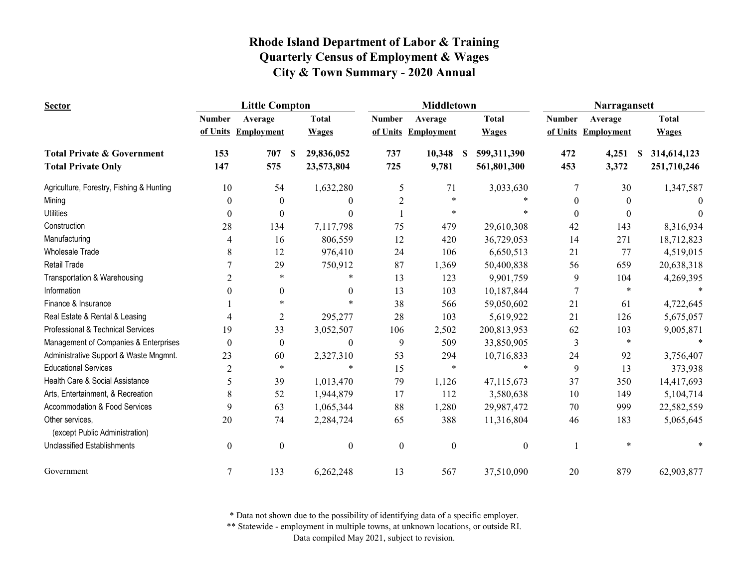| <b>Sector</b>                                     |                  | <b>Little Compton</b> |                  |                  | <b>Middletown</b>   |                  | Narragansett  |                     |                   |  |
|---------------------------------------------------|------------------|-----------------------|------------------|------------------|---------------------|------------------|---------------|---------------------|-------------------|--|
|                                                   | <b>Number</b>    | Average               | <b>Total</b>     | <b>Number</b>    | Average             | <b>Total</b>     | <b>Number</b> | Average             | <b>Total</b>      |  |
|                                                   |                  | of Units Employment   | <b>Wages</b>     |                  | of Units Employment | <b>Wages</b>     |               | of Units Employment | <b>Wages</b>      |  |
| <b>Total Private &amp; Government</b>             | 153              | 707                   | 29,836,052<br>S  | 737              | 10,348              | 599,311,390<br>S | 472           | 4,251               | 314,614,123<br>\$ |  |
| <b>Total Private Only</b>                         | 147              | 575                   | 23,573,804       | 725              | 9,781               | 561,801,300      | 453           | 3,372               | 251,710,246       |  |
| Agriculture, Forestry, Fishing & Hunting          | 10               | 54                    | 1,632,280        | 5                | 71                  | 3,033,630        | 7             | 30                  | 1,347,587         |  |
| Mining                                            | 0                | $\theta$              | $\Omega$         | $\overline{c}$   | *                   |                  | $\theta$      | $\Omega$            |                   |  |
| <b>Utilities</b>                                  | 0                | $\Omega$              | $\theta$         |                  | $\ast$              |                  | $\Omega$      | $\Omega$            |                   |  |
| Construction                                      | 28               | 134                   | 7,117,798        | 75               | 479                 | 29,610,308       | 42            | 143                 | 8,316,934         |  |
| Manufacturing                                     | 4                | 16                    | 806,559          | 12               | 420                 | 36,729,053       | 14            | 271                 | 18,712,823        |  |
| <b>Wholesale Trade</b>                            | 8                | 12                    | 976,410          | 24               | 106                 | 6,650,513        | 21            | 77                  | 4,519,015         |  |
| <b>Retail Trade</b>                               |                  | 29                    | 750,912          | 87               | 1,369               | 50,400,838       | 56            | 659                 | 20,638,318        |  |
| Transportation & Warehousing                      | 2                | $\ast$                | *                | 13               | 123                 | 9,901,759        | 9             | 104                 | 4,269,395         |  |
| Information                                       | 0                | $\theta$              | $\theta$         | 13               | 103                 | 10,187,844       | 7             | $\ast$              |                   |  |
| Finance & Insurance                               |                  | $\ast$                | $\ast$           | 38               | 566                 | 59,050,602       | 21            | 61                  | 4,722,645         |  |
| Real Estate & Rental & Leasing                    |                  | 2                     | 295,277          | 28               | 103                 | 5,619,922        | 21            | 126                 | 5,675,057         |  |
| Professional & Technical Services                 | 19               | 33                    | 3,052,507        | 106              | 2,502               | 200,813,953      | 62            | 103                 | 9,005,871         |  |
| Management of Companies & Enterprises             | $\theta$         | $\boldsymbol{0}$      | $\boldsymbol{0}$ | 9                | 509                 | 33,850,905       | 3             | $\ast$              |                   |  |
| Administrative Support & Waste Mngmnt.            | 23               | 60                    | 2,327,310        | 53               | 294                 | 10,716,833       | 24            | 92                  | 3,756,407         |  |
| <b>Educational Services</b>                       | $\overline{c}$   | $\ast$                | $\ast$           | 15               | $\ast$              | $\ast$           | 9             | 13                  | 373,938           |  |
| Health Care & Social Assistance                   | 5                | 39                    | 1,013,470        | 79               | 1,126               | 47,115,673       | 37            | 350                 | 14,417,693        |  |
| Arts, Entertainment, & Recreation                 | 8                | 52                    | 1,944,879        | 17               | 112                 | 3,580,638        | 10            | 149                 | 5,104,714         |  |
| Accommodation & Food Services                     | 9                | 63                    | 1,065,344        | 88               | 1,280               | 29,987,472       | 70            | 999                 | 22,582,559        |  |
| Other services,<br>(except Public Administration) | 20               | 74                    | 2,284,724        | 65               | 388                 | 11,316,804       | 46            | 183                 | 5,065,645         |  |
| <b>Unclassified Establishments</b>                | $\boldsymbol{0}$ | $\boldsymbol{0}$      | $\boldsymbol{0}$ | $\boldsymbol{0}$ | $\boldsymbol{0}$    | $\boldsymbol{0}$ |               |                     |                   |  |
| Government                                        | 7                | 133                   | 6,262,248        | 13               | 567                 | 37,510,090       | 20            | 879                 | 62,903,877        |  |

\* Data not shown due to the possibility of identifying data of a specific employer.

\*\* Statewide - employment in multiple towns, at unknown locations, or outside RI.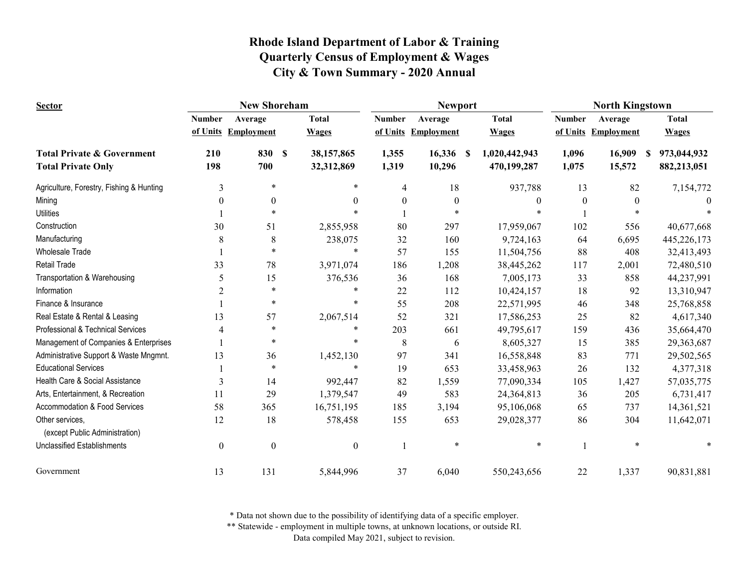| <b>Sector</b>                                     | <b>New Shoreham</b> |                   |                  |                  | <b>Newport</b>                       |                       | <b>North Kingstown</b> |                   |                   |  |
|---------------------------------------------------|---------------------|-------------------|------------------|------------------|--------------------------------------|-----------------------|------------------------|-------------------|-------------------|--|
|                                                   | <b>Number</b>       | Average           | <b>Total</b>     | <b>Number</b>    | Average                              | <b>Total</b>          | <b>Number</b>          | Average           | <b>Total</b>      |  |
|                                                   | of Units            | <b>Employment</b> | <b>Wages</b>     | of Units         | <b>Employment</b>                    | <b>Wages</b>          | of Units               | <b>Employment</b> | <b>Wages</b>      |  |
| <b>Total Private &amp; Government</b>             | 210                 | 830               | 38,157,865<br>-S | 1,355            | 16,336                               | 1,020,442,943<br>- \$ | 1,096                  | 16,909            | 973,044,932<br>S. |  |
| <b>Total Private Only</b>                         | 198                 | 700               | 32,312,869       | 1,319            | 10,296                               | 470,199,287           | 1,075                  | 15,572            | 882,213,051       |  |
| Agriculture, Forestry, Fishing & Hunting          | 3                   | *                 |                  | $\ast$           | 18<br>$\overline{4}$                 | 937,788               | 13                     | 82                | 7,154,772         |  |
| Mining                                            | $\boldsymbol{0}$    | $\boldsymbol{0}$  |                  | $\theta$         | $\boldsymbol{0}$<br>$\boldsymbol{0}$ | $\theta$              | $\overline{0}$         | $\boldsymbol{0}$  |                   |  |
| <b>Utilities</b>                                  |                     | $\ast$            |                  |                  |                                      |                       |                        |                   |                   |  |
| Construction                                      | 30                  | 51                | 2,855,958        | 80               | 297                                  | 17,959,067            | 102                    | 556               | 40,677,668        |  |
| Manufacturing                                     | 8                   | $\,8\,$           |                  | 238,075<br>32    | 160                                  | 9,724,163             | 64                     | 6,695             | 445,226,173       |  |
| <b>Wholesale Trade</b>                            |                     | $\ast$            |                  | $\ast$<br>57     | 155                                  | 11,504,756            | 88                     | 408               | 32,413,493        |  |
| <b>Retail Trade</b>                               | 33                  | 78                | 3,971,074        | 186              | 1,208                                | 38,445,262            | 117                    | 2,001             | 72,480,510        |  |
| Transportation & Warehousing                      | 5                   | 15                |                  | 376,536<br>36    | 168                                  | 7,005,173             | 33                     | 858               | 44,237,991        |  |
| Information                                       | $\overline{2}$      | $\ast$            |                  | 22               | 112                                  | 10,424,157            | 18                     | 92                | 13,310,947        |  |
| Finance & Insurance                               |                     | $\ast$            |                  | $\ast$<br>55     | 208                                  | 22,571,995            | 46                     | 348               | 25,768,858        |  |
| Real Estate & Rental & Leasing                    | 13                  | 57                | 2,067,514        | 52               | 321                                  | 17,586,253            | 25                     | 82                | 4,617,340         |  |
| Professional & Technical Services                 | 4                   | $\ast$            |                  | $\ast$<br>203    | 661                                  | 49,795,617            | 159                    | 436               | 35,664,470        |  |
| Management of Companies & Enterprises             |                     | $\ast$            |                  | $\ast$           | 8<br>6                               | 8,605,327             | 15                     | 385               | 29,363,687        |  |
| Administrative Support & Waste Mngmnt.            | 13                  | 36                | 1,452,130        | 97               | 341                                  | 16,558,848            | 83                     | 771               | 29,502,565        |  |
| <b>Educational Services</b>                       |                     | $\ast$            |                  | $\ast$<br>19     | 653                                  | 33,458,963            | 26                     | 132               | 4,377,318         |  |
| Health Care & Social Assistance                   | 3                   | 14                |                  | 992,447<br>82    | 1,559                                | 77,090,334            | 105                    | 1,427             | 57,035,775        |  |
| Arts, Entertainment, & Recreation                 | 11                  | 29                | 1,379,547        | 49               | 583                                  | 24,364,813            | 36                     | 205               | 6,731,417         |  |
| Accommodation & Food Services                     | 58                  | 365               | 16,751,195       | 185              | 3,194                                | 95,106,068            | 65                     | 737               | 14,361,521        |  |
| Other services,<br>(except Public Administration) | 12                  | 18                |                  | 578,458<br>155   | 653                                  | 29,028,377            | 86                     | 304               | 11,642,071        |  |
| <b>Unclassified Establishments</b>                | $\boldsymbol{0}$    | $\boldsymbol{0}$  |                  | $\boldsymbol{0}$ | $\ast$                               | $\ast$                | $\mathbf{1}$           | $\ast$            |                   |  |
| Government                                        | 13                  | 131               | 5,844,996        | 37               | 6,040                                | 550,243,656           | 22                     | 1,337             | 90,831,881        |  |

\* Data not shown due to the possibility of identifying data of a specific employer.

\*\* Statewide - employment in multiple towns, at unknown locations, or outside RI.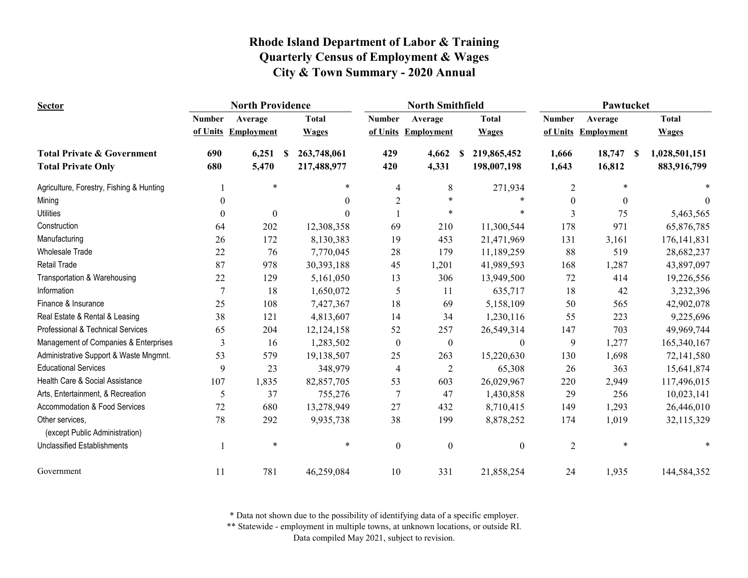| <b>Sector</b>                                     | <b>North Providence</b> |                     |                   |                          | <b>North Smithfield</b> |                  | Pawtucket        |                     |                     |  |
|---------------------------------------------------|-------------------------|---------------------|-------------------|--------------------------|-------------------------|------------------|------------------|---------------------|---------------------|--|
|                                                   | <b>Number</b>           | Average             | <b>Total</b>      | <b>Number</b>            | Average                 | <b>Total</b>     | <b>Number</b>    | Average             | <b>Total</b>        |  |
|                                                   |                         | of Units Employment | <b>Wages</b>      | of Units                 | Employment              | <b>Wages</b>     |                  | of Units Employment | <b>Wages</b>        |  |
| <b>Total Private &amp; Government</b>             | 690                     | 6,251               | 263,748,061<br>-S | 429                      | 4,662                   | 219,865,452<br>S | 1,666            | 18,747              | 1,028,501,151<br>-S |  |
| <b>Total Private Only</b>                         | 680                     | 5,470               | 217,488,977       | 420                      | 4,331                   | 198,007,198      | 1,643            | 16,812              | 883,916,799         |  |
| Agriculture, Forestry, Fishing & Hunting          |                         | $\ast$              | $\ast$            | $\overline{\mathcal{L}}$ | 8                       | 271,934          | 2                | $\ast$              |                     |  |
| Mining                                            | $\theta$                |                     |                   | $\boldsymbol{2}$         | $\ast$                  |                  | $\boldsymbol{0}$ | $\theta$            | $\theta$            |  |
| <b>Utilities</b>                                  | $\theta$                | $\boldsymbol{0}$    |                   |                          | $\ast$                  | $\ast$           | 3                | 75                  | 5,463,565           |  |
| Construction                                      | 64                      | 202                 | 12,308,358        | 69                       | 210                     | 11,300,544       | 178              | 971                 | 65,876,785          |  |
| Manufacturing                                     | 26                      | 172                 | 8,130,383         | 19                       | 453                     | 21,471,969       | 131              | 3,161               | 176, 141, 831       |  |
| <b>Wholesale Trade</b>                            | 22                      | 76                  | 7,770,045         | 28                       | 179                     | 11,189,259       | 88               | 519                 | 28,682,237          |  |
| Retail Trade                                      | 87                      | 978                 | 30,393,188        | 45                       | 1,201                   | 41,989,593       | 168              | 1,287               | 43,897,097          |  |
| Transportation & Warehousing                      | 22                      | 129                 | 5,161,050         | 13                       | 306                     | 13,949,500       | 72               | 414                 | 19,226,556          |  |
| Information                                       | 7                       | 18                  | 1,650,072         | 5                        | 11                      | 635,717          | 18               | 42                  | 3,232,396           |  |
| Finance & Insurance                               | 25                      | 108                 | 7,427,367         | 18                       | 69                      | 5,158,109        | 50               | 565                 | 42,902,078          |  |
| Real Estate & Rental & Leasing                    | 38                      | 121                 | 4,813,607         | 14                       | 34                      | 1,230,116        | 55               | 223                 | 9,225,696           |  |
| Professional & Technical Services                 | 65                      | 204                 | 12,124,158        | 52                       | 257                     | 26,549,314       | 147              | 703                 | 49,969,744          |  |
| Management of Companies & Enterprises             | 3                       | 16                  | 1,283,502         | $\boldsymbol{0}$         | $\boldsymbol{0}$        | $\boldsymbol{0}$ | 9                | 1,277               | 165,340,167         |  |
| Administrative Support & Waste Mngmnt.            | 53                      | 579                 | 19,138,507        | 25                       | 263                     | 15,220,630       | 130              | 1,698               | 72,141,580          |  |
| <b>Educational Services</b>                       | 9                       | 23                  | 348,979           | $\overline{\mathcal{L}}$ | $\overline{2}$          | 65,308           | 26               | 363                 | 15,641,874          |  |
| Health Care & Social Assistance                   | 107                     | 1,835               | 82,857,705        | 53                       | 603                     | 26,029,967       | 220              | 2,949               | 117,496,015         |  |
| Arts, Entertainment, & Recreation                 | 5                       | 37                  | 755,276           | $\tau$                   | 47                      | 1,430,858        | 29               | 256                 | 10,023,141          |  |
| Accommodation & Food Services                     | 72                      | 680                 | 13,278,949        | 27                       | 432                     | 8,710,415        | 149              | 1,293               | 26,446,010          |  |
| Other services,<br>(except Public Administration) | 78                      | 292                 | 9,935,738         | 38                       | 199                     | 8,878,252        | 174              | 1,019               | 32,115,329          |  |
| <b>Unclassified Establishments</b>                |                         | $\ast$              | $\ast$            | $\boldsymbol{0}$         | $\mathbf{0}$            | $\boldsymbol{0}$ | $\overline{2}$   | $\ast$              |                     |  |
| Government                                        | 11                      | 781                 | 46,259,084        | 10                       | 331                     | 21,858,254       | 24               | 1,935               | 144,584,352         |  |

\* Data not shown due to the possibility of identifying data of a specific employer.

\*\* Statewide - employment in multiple towns, at unknown locations, or outside RI.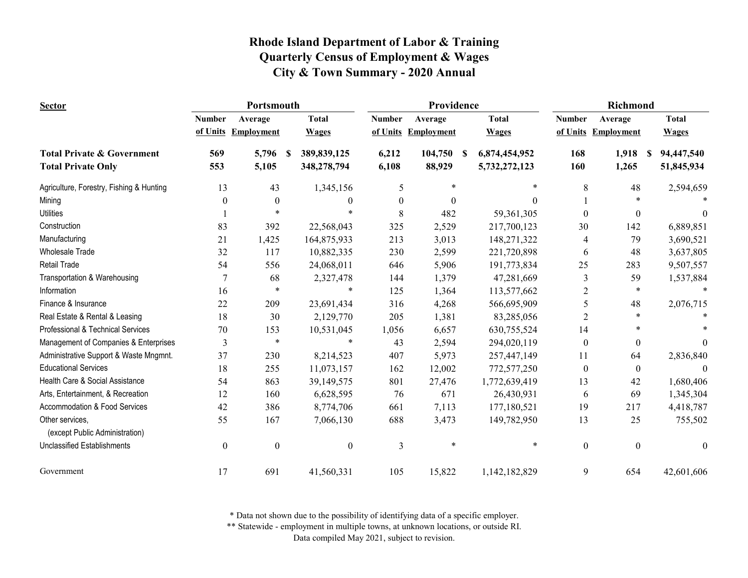| <b>Sector</b>                                     |                  | Portsmouth        |                     |                  | Providence        |                     | <b>Richmond</b>  |                   |                  |  |
|---------------------------------------------------|------------------|-------------------|---------------------|------------------|-------------------|---------------------|------------------|-------------------|------------------|--|
|                                                   | <b>Number</b>    | Average           | <b>Total</b>        | <b>Number</b>    | Average           | <b>Total</b>        | <b>Number</b>    | Average           | <b>Total</b>     |  |
|                                                   | of Units         | <b>Employment</b> | <b>Wages</b>        | of Units         | <b>Employment</b> | <b>Wages</b>        | of Units         | <b>Employment</b> | <b>Wages</b>     |  |
| <b>Total Private &amp; Government</b>             | 569              | 5,796             | 389,839,125<br>- \$ | 6,212            | 104,750           | 6,874,454,952<br>-S | 168              | 1,918             | 94,447,540<br>-S |  |
| <b>Total Private Only</b>                         | 553              | 5,105             | 348,278,794         | 6,108            | 88,929            | 5,732,272,123       | 160              | 1,265             | 51,845,934       |  |
| Agriculture, Forestry, Fishing & Hunting          | 13               | 43                | 1,345,156           | 5                | $\ast$            | $\ast$              | 8                | 48                | 2,594,659        |  |
| Mining                                            | $\theta$         | $\mathbf{0}$      | $\theta$            | $\boldsymbol{0}$ | $\theta$          | $\theta$            |                  | $\ast$            |                  |  |
| <b>Utilities</b>                                  |                  | $\ast$            |                     | 8                | 482               | 59,361,305          | $\Omega$         | $\theta$          | 0                |  |
| Construction                                      | 83               | 392               | 22,568,043          | 325              | 2,529             | 217,700,123         | 30               | 142               | 6,889,851        |  |
| Manufacturing                                     | 21               | 1,425             | 164,875,933         | 213              | 3,013             | 148,271,322         | 4                | 79                | 3,690,521        |  |
| <b>Wholesale Trade</b>                            | 32               | 117               | 10,882,335          | 230              | 2,599             | 221,720,898         | 6                | 48                | 3,637,805        |  |
| Retail Trade                                      | 54               | 556               | 24,068,011          | 646              | 5,906             | 191,773,834         | 25               | 283               | 9,507,557        |  |
| Transportation & Warehousing                      | $\overline{7}$   | 68                | 2,327,478           | 144              | 1,379             | 47,281,669          | 3                | 59                | 1,537,884        |  |
| Information                                       | 16               | *                 | *                   | 125              | 1,364             | 113,577,662         | 2                | *                 |                  |  |
| Finance & Insurance                               | 22               | 209               | 23,691,434          | 316              | 4,268             | 566,695,909         | 5                | 48                | 2,076,715        |  |
| Real Estate & Rental & Leasing                    | 18               | 30                | 2,129,770           | 205              | 1,381             | 83,285,056          | 2                | $\ast$            |                  |  |
| Professional & Technical Services                 | 70               | 153               | 10,531,045          | 1,056            | 6,657             | 630,755,524         | 14               | *                 |                  |  |
| Management of Companies & Enterprises             | 3                | $\ast$            | *                   | 43               | 2,594             | 294,020,119         | $\boldsymbol{0}$ | $\mathbf{0}$      | $\theta$         |  |
| Administrative Support & Waste Mngmnt.            | 37               | 230               | 8,214,523           | 407              | 5,973             | 257,447,149         | 11               | 64                | 2,836,840        |  |
| <b>Educational Services</b>                       | 18               | 255               | 11,073,157          | 162              | 12,002            | 772,577,250         | $\boldsymbol{0}$ | $\boldsymbol{0}$  | $\Omega$         |  |
| Health Care & Social Assistance                   | 54               | 863               | 39,149,575          | 801              | 27,476            | 1,772,639,419       | 13               | 42                | 1,680,406        |  |
| Arts, Entertainment, & Recreation                 | 12               | 160               | 6,628,595           | 76               | 671               | 26,430,931          | 6                | 69                | 1,345,304        |  |
| Accommodation & Food Services                     | 42               | 386               | 8,774,706           | 661              | 7,113             | 177,180,521         | 19               | 217               | 4,418,787        |  |
| Other services,<br>(except Public Administration) | 55               | 167               | 7,066,130           | 688              | 3,473             | 149,782,950         | 13               | 25                | 755,502          |  |
| <b>Unclassified Establishments</b>                | $\boldsymbol{0}$ | $\boldsymbol{0}$  | $\boldsymbol{0}$    | 3                | $\ast$            | $\ast$              | $\overline{0}$   | $\overline{0}$    | $\theta$         |  |
| Government                                        | 17               | 691               | 41,560,331          | 105              | 15,822            | 1,142,182,829       | 9                | 654               | 42,601,606       |  |

\* Data not shown due to the possibility of identifying data of a specific employer.

\*\* Statewide - employment in multiple towns, at unknown locations, or outside RI.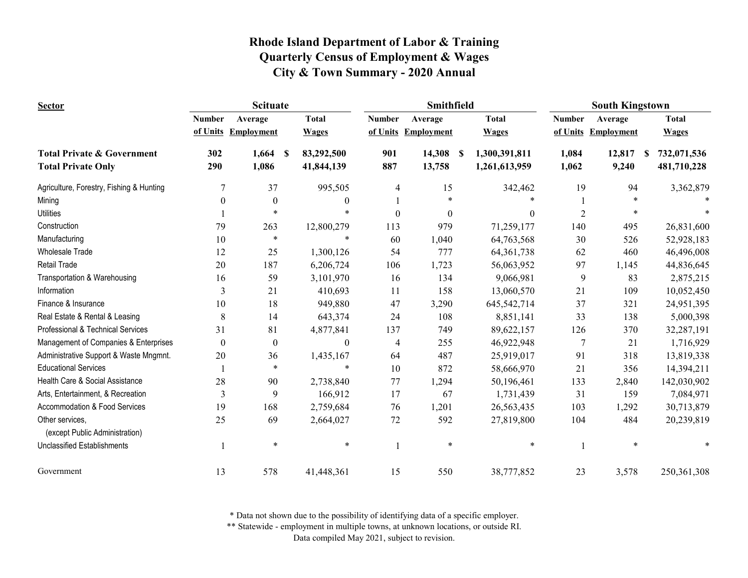| <b>Sector</b>                                     |                  | <b>Scituate</b>   |                  |               | Smithfield        |                           | <b>South Kingstown</b> |                     |                  |  |
|---------------------------------------------------|------------------|-------------------|------------------|---------------|-------------------|---------------------------|------------------------|---------------------|------------------|--|
|                                                   | <b>Number</b>    | Average           | <b>Total</b>     | <b>Number</b> | Average           | <b>Total</b>              | <b>Number</b>          | Average             | <b>Total</b>     |  |
|                                                   | of Units         | <b>Employment</b> | <b>Wages</b>     | of Units      | <b>Employment</b> | <b>Wages</b>              |                        | of Units Employment | <b>Wages</b>     |  |
| <b>Total Private &amp; Government</b>             | 302              | 1,664             | 83,292,500<br>-S | 901           | 14,308            | 1,300,391,811<br><b>S</b> | 1,084                  | 12,817              | 732,071,536<br>S |  |
| <b>Total Private Only</b>                         | 290              | 1,086             | 41,844,139       | 887           | 13,758            | 1,261,613,959             | 1,062                  | 9,240               | 481,710,228      |  |
| Agriculture, Forestry, Fishing & Hunting          | 7                | 37                | 995,505          | 4             | 15                | 342,462                   | 19                     | 94                  | 3,362,879        |  |
| Mining                                            | $\theta$         | $\overline{0}$    | $\theta$         |               | $\ast$            |                           |                        | $\ast$              |                  |  |
| <b>Utilities</b>                                  |                  | *                 |                  | $\theta$      | $\theta$          | $\Omega$                  | $\mathfrak{D}$         | $\ast$              |                  |  |
| Construction                                      | 79               | 263               | 12,800,279       | 113           | 979               | 71,259,177                | 140                    | 495                 | 26,831,600       |  |
| Manufacturing                                     | 10               | $\ast$            | $\ast$           | 60            | 1,040             | 64,763,568                | 30                     | 526                 | 52,928,183       |  |
| <b>Wholesale Trade</b>                            | 12               | 25                | 1,300,126        | 54            | 777               | 64, 361, 738              | 62                     | 460                 | 46,496,008       |  |
| <b>Retail Trade</b>                               | 20               | 187               | 6,206,724        | 106           | 1,723             | 56,063,952                | 97                     | 1,145               | 44,836,645       |  |
| Transportation & Warehousing                      | 16               | 59                | 3,101,970        | 16            | 134               | 9,066,981                 | 9                      | 83                  | 2,875,215        |  |
| Information                                       | 3                | 21                | 410,693          | 11            | 158               | 13,060,570                | 21                     | 109                 | 10,052,450       |  |
| Finance & Insurance                               | 10               | 18                | 949,880          | 47            | 3,290             | 645,542,714               | 37                     | 321                 | 24,951,395       |  |
| Real Estate & Rental & Leasing                    | 8                | 14                | 643,374          | 24            | 108               | 8,851,141                 | 33                     | 138                 | 5,000,398        |  |
| <b>Professional &amp; Technical Services</b>      | 31               | 81                | 4,877,841        | 137           | 749               | 89,622,157                | 126                    | 370                 | 32,287,191       |  |
| Management of Companies & Enterprises             | $\boldsymbol{0}$ | $\boldsymbol{0}$  | $\boldsymbol{0}$ | 4             | 255               | 46,922,948                | 7                      | 21                  | 1,716,929        |  |
| Administrative Support & Waste Mngmnt.            | 20               | 36                | 1,435,167        | 64            | 487               | 25,919,017                | 91                     | 318                 | 13,819,338       |  |
| <b>Educational Services</b>                       |                  | $\ast$            | *                | 10            | 872               | 58,666,970                | 21                     | 356                 | 14,394,211       |  |
| Health Care & Social Assistance                   | 28               | 90                | 2,738,840        | 77            | 1,294             | 50,196,461                | 133                    | 2,840               | 142,030,902      |  |
| Arts, Entertainment, & Recreation                 | 3                | 9                 | 166,912          | 17            | 67                | 1,731,439                 | 31                     | 159                 | 7,084,971        |  |
| <b>Accommodation &amp; Food Services</b>          | 19               | 168               | 2,759,684        | 76            | 1,201             | 26, 563, 435              | 103                    | 1,292               | 30,713,879       |  |
| Other services.<br>(except Public Administration) | 25               | 69                | 2,664,027        | 72            | 592               | 27,819,800                | 104                    | 484                 | 20,239,819       |  |
| <b>Unclassified Establishments</b>                |                  | $\ast$            | $\ast$           |               | ∗                 | $\ast$                    |                        | $\ast$              |                  |  |
| Government                                        | 13               | 578               | 41,448,361       | 15            | 550               | 38,777,852                | 23                     | 3,578               | 250,361,308      |  |

\* Data not shown due to the possibility of identifying data of a specific employer.

\*\* Statewide - employment in multiple towns, at unknown locations, or outside RI.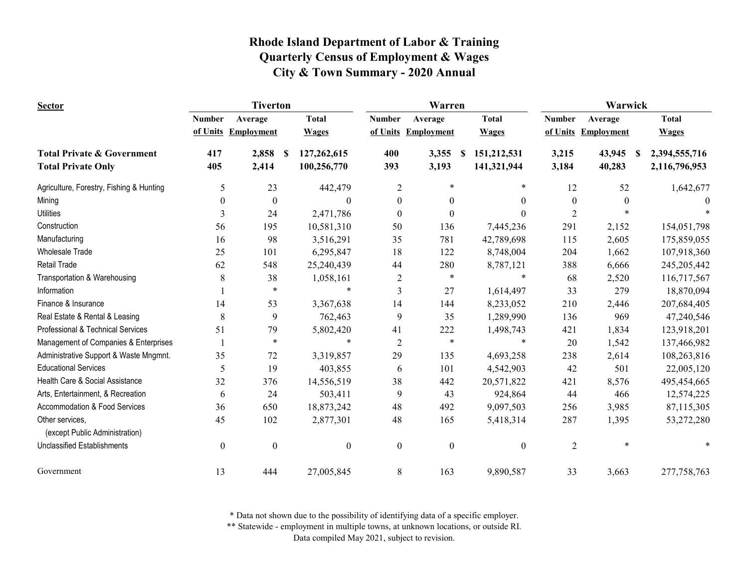| <b>Sector</b>                                     |                  | <b>Tiverton</b>     |          |                  | Warren                  |                   | Warwick |                  |                  |                   |              |               |
|---------------------------------------------------|------------------|---------------------|----------|------------------|-------------------------|-------------------|---------|------------------|------------------|-------------------|--------------|---------------|
|                                                   | <b>Number</b>    | Average             |          | <b>Total</b>     | <b>Number</b>           | Average           |         | <b>Total</b>     | <b>Number</b>    | Average           |              | <b>Total</b>  |
|                                                   |                  | of Units Employment |          | <b>Wages</b>     | of Units                | <b>Employment</b> |         | <b>Wages</b>     | of Units         | <b>Employment</b> |              | <b>Wages</b>  |
| <b>Total Private &amp; Government</b>             | 417              | 2,858               | <b>S</b> | 127,262,615      | 400                     | 3,355             | S       | 151,212,531      | 3,215            | 43,945            | $\mathbf{s}$ | 2,394,555,716 |
| <b>Total Private Only</b>                         | 405              | 2,414               |          | 100,256,770      | 393                     | 3,193             |         | 141,321,944      | 3,184            | 40,283            |              | 2,116,796,953 |
| Agriculture, Forestry, Fishing & Hunting          | 5                | 23                  |          | 442,479          | $\overline{2}$          | $\ast$            |         | *                | 12               | 52                |              | 1,642,677     |
| Mining                                            | $\theta$         | $\boldsymbol{0}$    |          | $\mathbf{0}$     | $\boldsymbol{0}$        | $\theta$          |         | $\Omega$         | $\boldsymbol{0}$ | $\Omega$          |              |               |
| <b>Utilities</b>                                  | 3                | 24                  |          | 2,471,786        | $\boldsymbol{0}$        | $\Omega$          |         | $\Omega$         | $\overline{c}$   |                   |              |               |
| Construction                                      | 56               | 195                 |          | 10,581,310       | 50                      | 136               |         | 7,445,236        | 291              | 2,152             |              | 154,051,798   |
| Manufacturing                                     | 16               | 98                  |          | 3,516,291        | 35                      | 781               |         | 42,789,698       | 115              | 2,605             |              | 175,859,055   |
| <b>Wholesale Trade</b>                            | 25               | 101                 |          | 6,295,847        | 18                      | 122               |         | 8,748,004        | 204              | 1,662             |              | 107,918,360   |
| <b>Retail Trade</b>                               | 62               | 548                 |          | 25,240,439       | 44                      | 280               |         | 8,787,121        | 388              | 6,666             |              | 245,205,442   |
| Transportation & Warehousing                      | 8                | 38                  |          | 1,058,161        | $\overline{\mathbf{c}}$ | $\ast$            |         |                  | 68               | 2,520             |              | 116,717,567   |
| Information                                       |                  | $\ast$              |          | *                | 3                       | 27                |         | 1,614,497        | 33               | 279               |              | 18,870,094    |
| Finance & Insurance                               | 14               | 53                  |          | 3,367,638        | 14                      | 144               |         | 8,233,052        | 210              | 2,446             |              | 207,684,405   |
| Real Estate & Rental & Leasing                    | 8                | 9                   |          | 762,463          | 9                       | 35                |         | 1,289,990        | 136              | 969               |              | 47,240,546    |
| Professional & Technical Services                 | 51               | 79                  |          | 5,802,420        | 41                      | 222               |         | 1,498,743        | 421              | 1,834             |              | 123,918,201   |
| Management of Companies & Enterprises             |                  | $\ast$              |          | *                | $\overline{2}$          | $\ast$            |         | $\ast$           | 20               | 1,542             |              | 137,466,982   |
| Administrative Support & Waste Mngmnt.            | 35               | 72                  |          | 3,319,857        | 29                      | 135               |         | 4,693,258        | 238              | 2,614             |              | 108,263,816   |
| <b>Educational Services</b>                       | 5                | 19                  |          | 403,855          | 6                       | 101               |         | 4,542,903        | 42               | 501               |              | 22,005,120    |
| Health Care & Social Assistance                   | 32               | 376                 |          | 14,556,519       | 38                      | 442               |         | 20,571,822       | 421              | 8,576             |              | 495,454,665   |
| Arts, Entertainment, & Recreation                 | 6                | 24                  |          | 503,411          | 9                       | 43                |         | 924,864          | 44               | 466               |              | 12,574,225    |
| Accommodation & Food Services                     | 36               | 650                 |          | 18,873,242       | 48                      | 492               |         | 9,097,503        | 256              | 3,985             |              | 87,115,305    |
| Other services.<br>(except Public Administration) | 45               | 102                 |          | 2,877,301        | 48                      | 165               |         | 5,418,314        | 287              | 1,395             |              | 53,272,280    |
| <b>Unclassified Establishments</b>                | $\boldsymbol{0}$ | $\boldsymbol{0}$    |          | $\boldsymbol{0}$ | $\boldsymbol{0}$        | $\boldsymbol{0}$  |         | $\boldsymbol{0}$ | $\overline{2}$   | $\ast$            |              |               |
| Government                                        | 13               | 444                 |          | 27,005,845       | 8                       | 163               |         | 9,890,587        | 33               | 3,663             |              | 277,758,763   |

\* Data not shown due to the possibility of identifying data of a specific employer.

\*\* Statewide - employment in multiple towns, at unknown locations, or outside RI.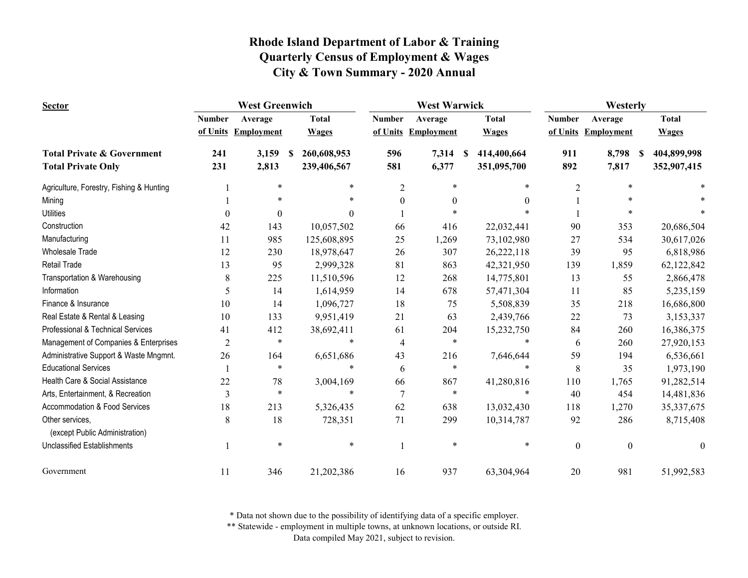| <b>Sector</b>                                     | <b>West Greenwich</b> |                     |                  |                | <b>West Warwick</b> |                  | Westerly         |                     |              |
|---------------------------------------------------|-----------------------|---------------------|------------------|----------------|---------------------|------------------|------------------|---------------------|--------------|
|                                                   | <b>Number</b>         | Average             | <b>Total</b>     | <b>Number</b>  | Average             | <b>Total</b>     | <b>Number</b>    | Average             | <b>Total</b> |
|                                                   |                       | of Units Employment | <b>Wages</b>     |                | of Units Employment | <b>Wages</b>     |                  | of Units Employment | <b>Wages</b> |
| <b>Total Private &amp; Government</b>             | 241                   | 3,159               | 260,608,953<br>S | 596            | 7,314               | 414,400,664<br>S | 911              | 8,798<br>S          | 404,899,998  |
| <b>Total Private Only</b>                         | 231                   | 2,813               | 239,406,567      | 581            | 6,377               | 351,095,700      | 892              | 7,817               | 352,907,415  |
| Agriculture, Forestry, Fishing & Hunting          |                       | $\ast$              | $\ast$           | $\overline{c}$ | $\ast$              | *                | $\overline{2}$   | $\ast$              |              |
| Mining                                            |                       | $\ast$              |                  | $\overline{0}$ | $\Omega$            | 0                |                  |                     |              |
| <b>Utilities</b>                                  | $\Omega$              | $\Omega$            | $\Omega$         |                |                     |                  |                  |                     |              |
| Construction                                      | 42                    | 143                 | 10,057,502       | 66             | 416                 | 22,032,441       | 90               | 353                 | 20,686,504   |
| Manufacturing                                     | 11                    | 985                 | 125,608,895      | 25             | 1,269               | 73,102,980       | 27               | 534                 | 30,617,026   |
| <b>Wholesale Trade</b>                            | 12                    | 230                 | 18,978,647       | 26             | 307                 | 26,222,118       | 39               | 95                  | 6,818,986    |
| <b>Retail Trade</b>                               | 13                    | 95                  | 2,999,328        | 81             | 863                 | 42,321,950       | 139              | 1,859               | 62,122,842   |
| Transportation & Warehousing                      | 8                     | 225                 | 11,510,596       | 12             | 268                 | 14,775,801       | 13               | 55                  | 2,866,478    |
| Information                                       | 5                     | 14                  | 1,614,959        | 14             | 678                 | 57,471,304       | 11               | 85                  | 5,235,159    |
| Finance & Insurance                               | 10                    | 14                  | 1,096,727        | 18             | 75                  | 5,508,839        | 35               | 218                 | 16,686,800   |
| Real Estate & Rental & Leasing                    | 10                    | 133                 | 9,951,419        | 21             | 63                  | 2,439,766        | 22               | 73                  | 3,153,337    |
| Professional & Technical Services                 | 41                    | 412                 | 38,692,411       | 61             | 204                 | 15,232,750       | 84               | 260                 | 16,386,375   |
| Management of Companies & Enterprises             | $\overline{c}$        | $\ast$              | $\ast$           | $\overline{4}$ | $\ast$              | $\ast$           | 6                | 260                 | 27,920,153   |
| Administrative Support & Waste Mngmnt.            | 26                    | 164                 | 6,651,686        | 43             | 216                 | 7,646,644        | 59               | 194                 | 6,536,661    |
| <b>Educational Services</b>                       |                       | $\ast$              |                  | 6              | *                   | $\ast$           | 8                | 35                  | 1,973,190    |
| Health Care & Social Assistance                   | 22                    | 78                  | 3,004,169        | 66             | 867                 | 41,280,816       | 110              | 1,765               | 91,282,514   |
| Arts, Entertainment, & Recreation                 | 3                     | $\ast$              | $\ast$           | $\overline{7}$ | $\ast$              | $\ast$           | 40               | 454                 | 14,481,836   |
| Accommodation & Food Services                     | 18                    | 213                 | 5,326,435        | 62             | 638                 | 13,032,430       | 118              | 1,270               | 35, 337, 675 |
| Other services,<br>(except Public Administration) | 8                     | 18                  | 728,351          | 71             | 299                 | 10,314,787       | 92               | 286                 | 8,715,408    |
| <b>Unclassified Establishments</b>                |                       | $\ast$              | $\ast$           |                | $\ast$              | *                | $\boldsymbol{0}$ | $\overline{0}$      | $\theta$     |
| Government                                        | 11                    | 346                 | 21,202,386       | 16             | 937                 | 63,304,964       | 20               | 981                 | 51,992,583   |

\* Data not shown due to the possibility of identifying data of a specific employer.

\*\* Statewide - employment in multiple towns, at unknown locations, or outside RI.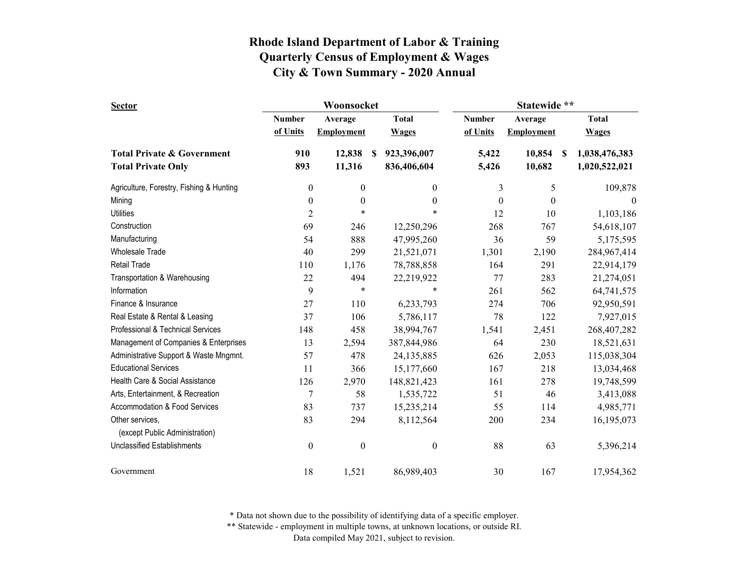| <b>Sector</b>                            |                  | Woonsocket        |                  |                  | Statewide **      |                     |  |  |
|------------------------------------------|------------------|-------------------|------------------|------------------|-------------------|---------------------|--|--|
|                                          | <b>Number</b>    | Average           | <b>Total</b>     | <b>Number</b>    | Average           | <b>Total</b>        |  |  |
|                                          | of Units         | <b>Employment</b> | <b>Wages</b>     | of Units         | <b>Employment</b> | <b>Wages</b>        |  |  |
| <b>Total Private &amp; Government</b>    | 910              | 12,838            | 923,396,007<br>S | 5,422            | 10,854            | 1,038,476,383<br>-S |  |  |
| <b>Total Private Only</b>                | 893              | 11,316            | 836,406,604      | 5,426            | 10,682            | 1,020,522,021       |  |  |
| Agriculture, Forestry, Fishing & Hunting | $\boldsymbol{0}$ | $\boldsymbol{0}$  | $\boldsymbol{0}$ | 3                | 5                 | 109,878             |  |  |
| Mining                                   | $\boldsymbol{0}$ | $\boldsymbol{0}$  | $\boldsymbol{0}$ | $\boldsymbol{0}$ | $\boldsymbol{0}$  | $\mathbf{0}$        |  |  |
| <b>Utilities</b>                         | $\overline{c}$   | $\ast$            | *                | 12               | 10                | 1,103,186           |  |  |
| Construction                             | 69               | 246               | 12,250,296       | 268              | 767               | 54,618,107          |  |  |
| Manufacturing                            | 54               | 888               | 47,995,260       | 36               | 59                | 5,175,595           |  |  |
| <b>Wholesale Trade</b>                   | 40               | 299               | 21,521,071       | 1,301            | 2,190             | 284,967,414         |  |  |
| <b>Retail Trade</b>                      | 110              | 1,176             | 78,788,858       | 164              | 291               | 22,914,179          |  |  |
| Transportation & Warehousing             | 22               | 494               | 22,219,922       | 77               | 283               | 21,274,051          |  |  |
| Information                              | 9                | $\ast$            | *                | 261              | 562               | 64,741,575          |  |  |
| Finance & Insurance                      | 27               | 110               | 6,233,793        | 274              | 706               | 92,950,591          |  |  |
| Real Estate & Rental & Leasing           | 37               | 106               | 5,786,117        | 78               | 122               | 7,927,015           |  |  |
| Professional & Technical Services        | 148              | 458               | 38,994,767       | 1,541            | 2,451             | 268,407,282         |  |  |
| Management of Companies & Enterprises    | 13               | 2,594             | 387,844,986      | 64               | 230               | 18,521,631          |  |  |
| Administrative Support & Waste Mngmnt.   | 57               | 478               | 24,135,885       | 626              | 2,053             | 115,038,304         |  |  |
| <b>Educational Services</b>              | 11               | 366               | 15,177,660       | 167              | 218               | 13,034,468          |  |  |
| Health Care & Social Assistance          | 126              | 2,970             | 148,821,423      | 161              | 278               | 19,748,599          |  |  |
| Arts, Entertainment, & Recreation        | $\sqrt{ }$       | 58                | 1,535,722        | 51               | 46                | 3,413,088           |  |  |
| Accommodation & Food Services            | 83               | 737               | 15,235,214       | 55               | 114               | 4,985,771           |  |  |
| Other services,                          | 83               | 294               | 8,112,564        | 200              | 234               | 16,195,073          |  |  |
| (except Public Administration)           |                  |                   |                  |                  |                   |                     |  |  |
| <b>Unclassified Establishments</b>       | $\boldsymbol{0}$ | $\boldsymbol{0}$  | $\boldsymbol{0}$ | 88               | 63                | 5,396,214           |  |  |
| Government                               | 18               | 1,521             | 86,989,403       | 30               | 167               | 17,954,362          |  |  |

\* Data not shown due to the possibility of identifying data of a specific employer.

\*\* Statewide - employment in multiple towns, at unknown locations, or outside RI.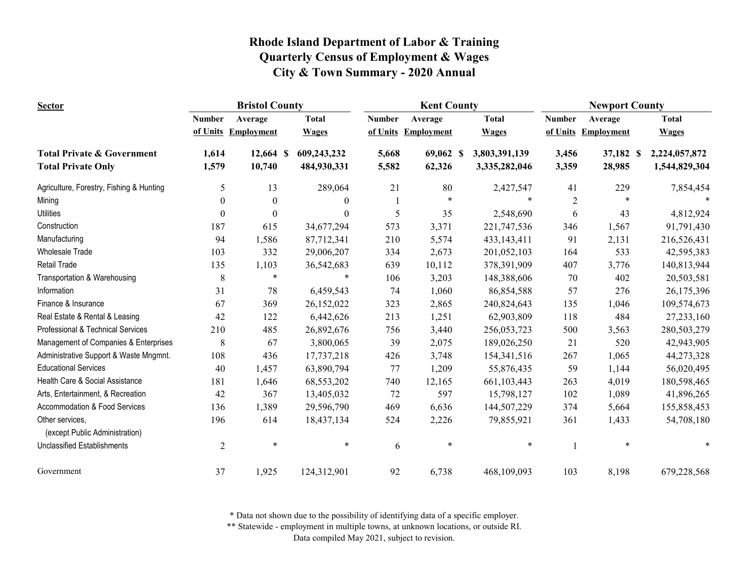| <b>Sector</b>                                     | <b>Bristol County</b> |                  |              | <b>Kent County</b> |                     |                     | <b>Newport County</b> |                   |               |
|---------------------------------------------------|-----------------------|------------------|--------------|--------------------|---------------------|---------------------|-----------------------|-------------------|---------------|
|                                                   | <b>Number</b>         | Average          | <b>Total</b> | <b>Number</b>      | Average             | <b>Total</b>        | <b>Number</b>         | Average           | <b>Total</b>  |
|                                                   | of Units              | Employment       | <b>Wages</b> |                    | of Units Employment | <b>Wages</b>        | of Units              | <b>Employment</b> | <b>Wages</b>  |
| <b>Total Private &amp; Government</b>             | 1,614                 | 12,664 \$        | 609,243,232  | 5,668              | 69,062              | 3,803,391,139<br>-S | 3,456                 | 37,182 \$         | 2,224,057,872 |
| <b>Total Private Only</b>                         | 1,579                 | 10,740           | 484,930,331  | 5,582              | 62,326              | 3,335,282,046       | 3,359                 | 28,985            | 1,544,829,304 |
| Agriculture, Forestry, Fishing & Hunting          | 5                     | 13               | 289,064      | 21                 | 80                  | 2,427,547           | 41                    | 229               | 7,854,454     |
| Mining                                            | $\boldsymbol{0}$      | $\boldsymbol{0}$ | $\bf{0}$     |                    | $\ast$              | $\ast$              | $\mathfrak{2}$        | $\ast$            |               |
| <b>Utilities</b>                                  | $\theta$              | $\boldsymbol{0}$ | $\theta$     | 5                  | 35                  | 2,548,690           | 6                     | 43                | 4,812,924     |
| Construction                                      | 187                   | 615              | 34,677,294   | 573                | 3,371               | 221,747,536         | 346                   | 1,567             | 91,791,430    |
| Manufacturing                                     | 94                    | 1,586            | 87,712,341   | 210                | 5,574               | 433, 143, 411       | 91                    | 2,131             | 216,526,431   |
| <b>Wholesale Trade</b>                            | 103                   | 332              | 29,006,207   | 334                | 2,673               | 201,052,103         | 164                   | 533               | 42,595,383    |
| Retail Trade                                      | 135                   | 1,103            | 36,542,683   | 639                | 10,112              | 378,391,909         | 407                   | 3,776             | 140,813,944   |
| Transportation & Warehousing                      | 8                     | $\ast$           | $\ast$       | 106                | 3,203               | 148,388,606         | 70                    | 402               | 20,503,581    |
| Information                                       | 31                    | $78\,$           | 6,459,543    | 74                 | 1,060               | 86,854,588          | 57                    | 276               | 26,175,396    |
| Finance & Insurance                               | 67                    | 369              | 26,152,022   | 323                | 2,865               | 240,824,643         | 135                   | 1,046             | 109,574,673   |
| Real Estate & Rental & Leasing                    | 42                    | 122              | 6,442,626    | 213                | 1,251               | 62,903,809          | 118                   | 484               | 27,233,160    |
| <b>Professional &amp; Technical Services</b>      | 210                   | 485              | 26,892,676   | 756                | 3,440               | 256,053,723         | 500                   | 3,563             | 280,503,279   |
| Management of Companies & Enterprises             | 8                     | 67               | 3,800,065    | 39                 | 2,075               | 189,026,250         | 21                    | 520               | 42,943,905    |
| Administrative Support & Waste Mngmnt.            | 108                   | 436              | 17,737,218   | 426                | 3,748               | 154,341,516         | 267                   | 1,065             | 44,273,328    |
| <b>Educational Services</b>                       | 40                    | 1,457            | 63,890,794   | 77                 | 1,209               | 55,876,435          | 59                    | 1,144             | 56,020,495    |
| Health Care & Social Assistance                   | 181                   | 1,646            | 68,553,202   | 740                | 12,165              | 661,103,443         | 263                   | 4,019             | 180,598,465   |
| Arts, Entertainment, & Recreation                 | 42                    | 367              | 13,405,032   | 72                 | 597                 | 15,798,127          | 102                   | 1,089             | 41,896,265    |
| <b>Accommodation &amp; Food Services</b>          | 136                   | 1,389            | 29,596,790   | 469                | 6,636               | 144,507,229         | 374                   | 5,664             | 155,858,453   |
| Other services,<br>(except Public Administration) | 196                   | 614              | 18,437,134   | 524                | 2,226               | 79,855,921          | 361                   | 1,433             | 54,708,180    |
| <b>Unclassified Establishments</b>                | $\overline{2}$        | $\ast$           | $\ast$       | 6                  | $\ast$              | $\ast$              |                       | $\ast$            | $\ast$        |
| Government                                        | 37                    | 1,925            | 124,312,901  | 92                 | 6,738               | 468,109,093         | 103                   | 8,198             | 679,228,568   |

\* Data not shown due to the possibility of identifying data of a specific employer.

\*\* Statewide - employment in multiple towns, at unknown locations, or outside RI.